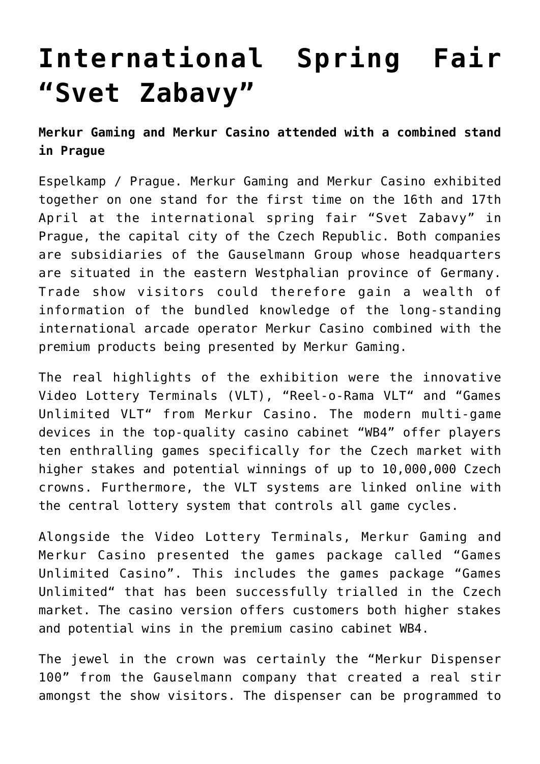## **[International Spring Fair](https://www.isa-guide.de/english-news/articles/25371.html) ["Svet Zabavy"](https://www.isa-guide.de/english-news/articles/25371.html)**

**Merkur Gaming and Merkur Casino attended with a combined stand in Prague**

Espelkamp / Prague. Merkur Gaming and Merkur Casino exhibited together on one stand for the first time on the 16th and 17th April at the international spring fair "Svet Zabavy" in Prague, the capital city of the Czech Republic. Both companies are subsidiaries of the Gauselmann Group whose headquarters are situated in the eastern Westphalian province of Germany. Trade show visitors could therefore gain a wealth of information of the bundled knowledge of the long-standing international arcade operator Merkur Casino combined with the premium products being presented by Merkur Gaming.

The real highlights of the exhibition were the innovative Video Lottery Terminals (VLT), "Reel-o-Rama VLT" and "Games Unlimited VLT" from Merkur Casino. The modern multi-game devices in the top-quality casino cabinet "WB4" offer players ten enthralling games specifically for the Czech market with higher stakes and potential winnings of up to 10,000,000 Czech crowns. Furthermore, the VLT systems are linked online with the central lottery system that controls all game cycles.

Alongside the Video Lottery Terminals, Merkur Gaming and Merkur Casino presented the games package called "Games Unlimited Casino". This includes the games package "Games Unlimited" that has been successfully trialled in the Czech market. The casino version offers customers both higher stakes and potential wins in the premium casino cabinet WB4.

The jewel in the crown was certainly the "Merkur Dispenser 100" from the Gauselmann company that created a real stir amongst the show visitors. The dispenser can be programmed to